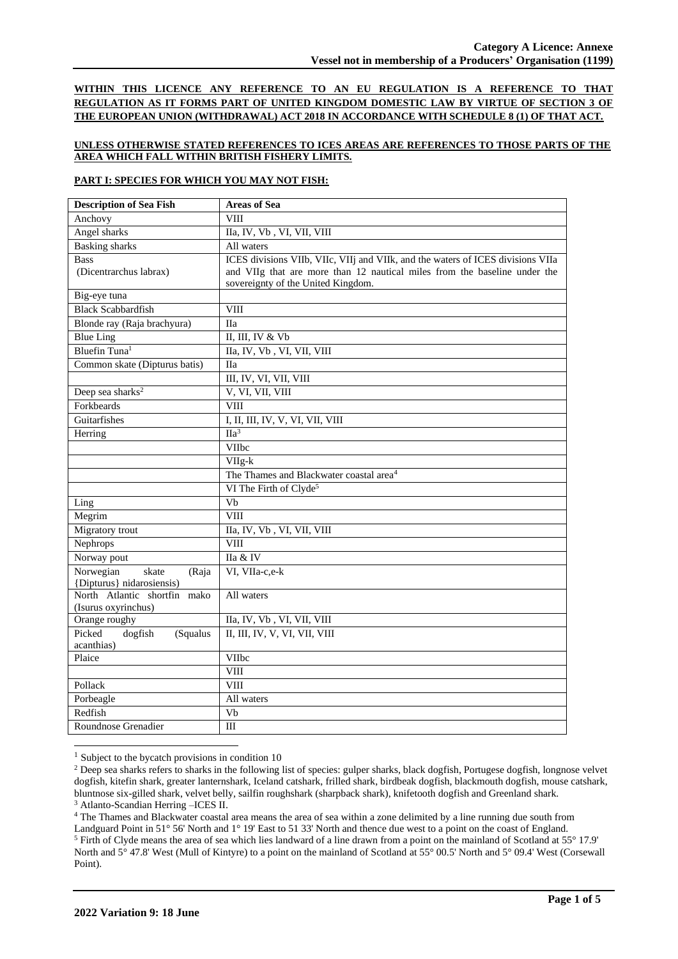**WITHIN THIS LICENCE ANY REFERENCE TO AN EU REGULATION IS A REFERENCE TO THAT REGULATION AS IT FORMS PART OF UNITED KINGDOM DOMESTIC LAW BY VIRTUE OF SECTION 3 OF THE EUROPEAN UNION (WITHDRAWAL) ACT 2018 IN ACCORDANCE WITH SCHEDULE 8 (1) OF THAT ACT.**

## **UNLESS OTHERWISE STATED REFERENCES TO ICES AREAS ARE REFERENCES TO THOSE PARTS OF THE AREA WHICH FALL WITHIN BRITISH FISHERY LIMITS.**

#### **PART I: SPECIES FOR WHICH YOU MAY NOT FISH:**

| <b>Description of Sea Fish</b>              | <b>Areas of Sea</b>                                                             |
|---------------------------------------------|---------------------------------------------------------------------------------|
| Anchovy                                     | VIII                                                                            |
| Angel sharks                                | IIa, IV, Vb, VI, VII, VIII                                                      |
| <b>Basking sharks</b>                       | All waters                                                                      |
| <b>Bass</b>                                 | ICES divisions VIIb, VIIc, VIIj and VIIk, and the waters of ICES divisions VIIa |
| (Dicentrarchus labrax)                      | and VIIg that are more than 12 nautical miles from the baseline under the       |
|                                             | sovereignty of the United Kingdom.                                              |
| Big-eye tuna                                |                                                                                 |
| <b>Black Scabbardfish</b>                   | VIII                                                                            |
| Blonde ray (Raja brachyura)                 | <b>IIa</b>                                                                      |
| <b>Blue Ling</b>                            | II, III, IV & Vb                                                                |
| Bluefin Tuna <sup>1</sup>                   | IIa, IV, Vb, VI, VII, VIII                                                      |
| Common skate (Dipturus batis)               | <b>IIa</b>                                                                      |
|                                             | III, IV, VI, VII, VIII                                                          |
| Deep sea sharks <sup>2</sup>                | V, VI, VII, VIII                                                                |
| Forkbeards                                  | <b>VIII</b>                                                                     |
| Guitarfishes                                | I, II, III, IV, V, VI, VII, VIII                                                |
| Herring                                     | $\Pi a^3$                                                                       |
|                                             | VIIbc                                                                           |
|                                             | $VIIg-k$                                                                        |
|                                             | The Thames and Blackwater coastal area <sup>4</sup>                             |
|                                             | VI The Firth of Clyde <sup>5</sup>                                              |
| Ling                                        | $\overline{\text{Vb}}$                                                          |
| Megrim                                      | <b>VIII</b>                                                                     |
| Migratory trout                             | IIa, IV, Vb, VI, VII, VIII                                                      |
| Nephrops                                    | <b>VIII</b>                                                                     |
| Norway pout                                 | IIa & IV                                                                        |
| Norwegian<br>skate<br>(Raja                 | VI, VIIa-c,e-k                                                                  |
| {Dipturus} nidarosiensis)                   |                                                                                 |
| North Atlantic shortfin mako                | All waters                                                                      |
| (Isurus oxyrinchus)                         |                                                                                 |
| Orange roughy                               | IIa, IV, Vb, VI, VII, VIII                                                      |
| Picked<br>dogfish<br>(Squalus<br>acanthias) | II, III, IV, V, VI, VII, VIII                                                   |
| Plaice                                      | VIIbc                                                                           |
|                                             | <b>VIII</b>                                                                     |
| Pollack                                     | <b>VIII</b>                                                                     |
| Porbeagle                                   | All waters                                                                      |
| Redfish                                     | Vb                                                                              |
|                                             |                                                                                 |
| Roundnose Grenadier                         | III                                                                             |

 $<sup>1</sup>$  Subject to the bycatch provisions in condition 10</sup>

<sup>3</sup> Atlanto-Scandian Herring –ICES II.

<sup>4</sup> The Thames and Blackwater coastal area means the area of sea within a zone delimited by a line running due south from

<sup>&</sup>lt;sup>2</sup> Deep sea sharks refers to sharks in the following list of species: gulper sharks, black dogfish, Portugese dogfish, longnose velvet dogfish, kitefin shark, greater lanternshark, Iceland catshark, frilled shark, birdbeak dogfish, blackmouth dogfish, mouse catshark, bluntnose six-gilled shark, velvet belly, sailfin roughshark (sharpback shark), knifetooth dogfish and Greenland shark.

Landguard Point in 51° 56' North and 1° 19' East to 51 33' North and thence due west to a point on the coast of England. <sup>5</sup> Firth of Clyde means the area of sea which lies landward of a line drawn from a point on the mainland of Scotland at 55° 17.9' North and 5° 47.8' West (Mull of Kintyre) to a point on the mainland of Scotland at 55° 00.5' North and 5° 09.4' West (Corsewall Point).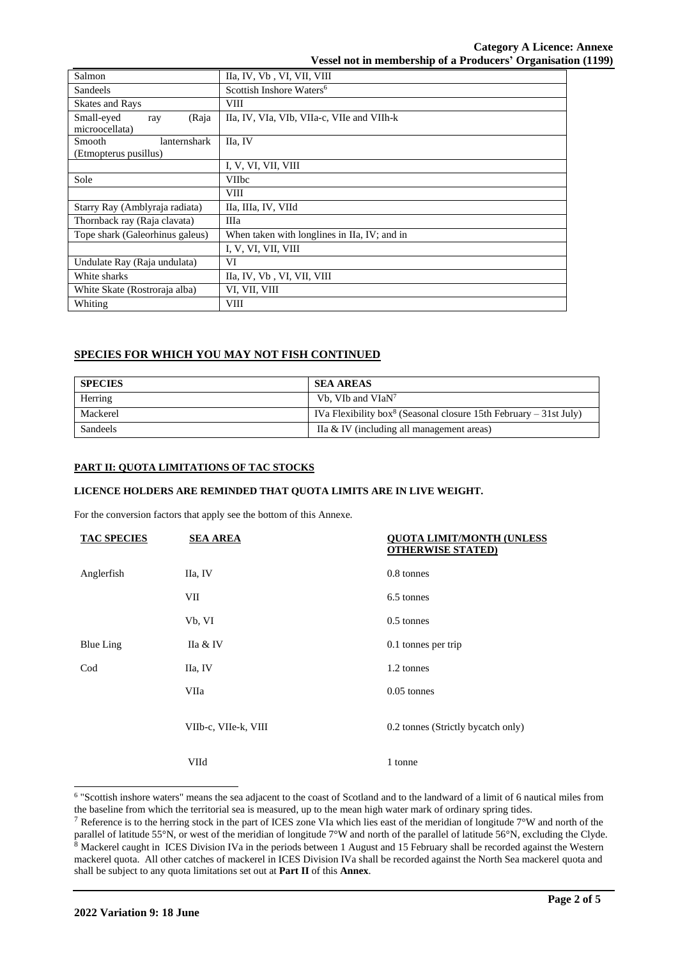| Salmon                                                 | IIa, IV, Vb, VI, VII, VIII                   |
|--------------------------------------------------------|----------------------------------------------|
| Sandeels                                               | Scottish Inshore Waters <sup>6</sup>         |
| <b>Skates and Rays</b>                                 | VIII                                         |
| Small-eyed<br>(Raja<br>ray<br>microocellata)           | IIa, IV, VIa, VIb, VIIa-c, VIIe and VIIh-k   |
| <b>Smooth</b><br>lanternshark<br>(Etmopterus pusillus) | IIa, IV                                      |
|                                                        | I, V, VI, VII, VIII                          |
| Sole                                                   | <b>VIIbc</b>                                 |
|                                                        | <b>VIII</b>                                  |
| Starry Ray (Amblyraja radiata)                         | IIa, IIIa, IV, VIId                          |
| Thornback ray (Raja clavata)                           | Шa                                           |
| Tope shark (Galeorhinus galeus)                        | When taken with longlines in IIa, IV; and in |
|                                                        | I, V, VI, VII, VIII                          |
| Undulate Ray (Raja undulata)                           | VI                                           |
| White sharks                                           | IIa, IV, Vb, VI, VII, VIII                   |
| White Skate (Rostroraja alba)                          | VI, VII, VIII                                |
| Whiting                                                | VIII                                         |

# **SPECIES FOR WHICH YOU MAY NOT FISH CONTINUED**

| <b>SPECIES</b> | <b>SEA AREAS</b>                                                              |
|----------------|-------------------------------------------------------------------------------|
| Herring        | Vb, VIb and VIaN <sup>7</sup>                                                 |
| Mackerel       | IVa Flexibility box <sup>8</sup> (Seasonal closure 15th February – 31st July) |
| Sandeels       | IIa & IV (including all management areas)                                     |

# **PART II: QUOTA LIMITATIONS OF TAC STOCKS**

#### **LICENCE HOLDERS ARE REMINDED THAT QUOTA LIMITS ARE IN LIVE WEIGHT.**

For the conversion factors that apply see the bottom of this Annexe.

| <b>TAC SPECIES</b> | <b>SEA AREA</b>      | <b>OUOTA LIMIT/MONTH (UNLESS</b><br><b>OTHERWISE STATED)</b> |
|--------------------|----------------------|--------------------------------------------------------------|
| Anglerfish         | IIa, IV              | 0.8 tonnes                                                   |
|                    | VII                  | 6.5 tonnes                                                   |
|                    | Vb, VI               | $0.5$ tonnes                                                 |
| <b>Blue Ling</b>   | IIa & IV             | 0.1 tonnes per trip                                          |
| Cod                | IIa, IV              | 1.2 tonnes                                                   |
|                    | VIIa                 | $0.05$ tonnes                                                |
|                    | VIIb-c, VIIe-k, VIII | 0.2 tonnes (Strictly bycatch only)                           |
|                    | VIId                 | 1 tonne                                                      |

<sup>&</sup>lt;sup>6</sup> "Scottish inshore waters" means the sea adjacent to the coast of Scotland and to the landward of a limit of 6 nautical miles from the baseline from which the territorial sea is measured, up to the mean high water mark of ordinary spring tides.

<sup>&</sup>lt;sup>7</sup> Reference is to the herring stock in the part of ICES zone VIa which lies east of the meridian of longitude  $7^{\circ}$ W and north of the parallel of latitude 55°N, or west of the meridian of longitude 7°W and north of the parallel of latitude 56°N, excluding the Clyde. <sup>8</sup> Mackerel caught in ICES Division IVa in the periods between 1 August and 15 February shall be recorded against the Western mackerel quota. All other catches of mackerel in ICES Division IVa shall be recorded against the North Sea mackerel quota and shall be subject to any quota limitations set out at **Part II** of this **Annex**.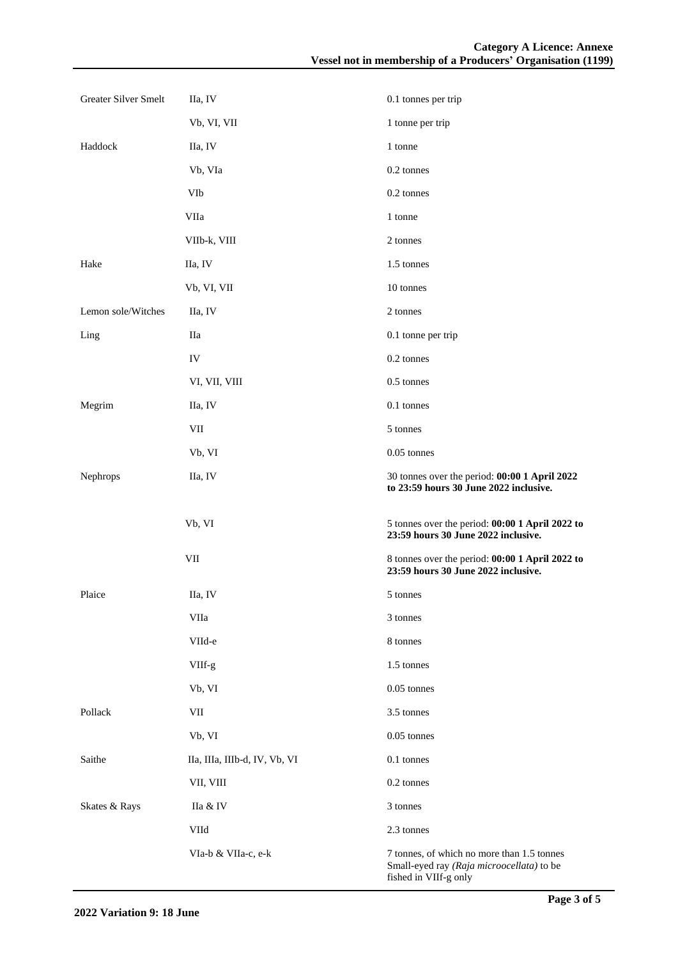| Greater Silver Smelt | IIa, IV                       | 0.1 tonnes per trip                                                                     |
|----------------------|-------------------------------|-----------------------------------------------------------------------------------------|
|                      | Vb, VI, VII                   | 1 tonne per trip                                                                        |
| Haddock              | IIa, IV                       | 1 tonne                                                                                 |
|                      | Vb, VIa                       | 0.2 tonnes                                                                              |
|                      | VIb                           | 0.2 tonnes                                                                              |
|                      | VIIa                          | 1 tonne                                                                                 |
|                      | VIIb-k, VIII                  | 2 tonnes                                                                                |
| Hake                 | IIa, IV                       | 1.5 tonnes                                                                              |
|                      | Vb, VI, VII                   | 10 tonnes                                                                               |
| Lemon sole/Witches   | IIa, IV                       | 2 tonnes                                                                                |
| Ling                 | IIa                           | 0.1 tonne per trip                                                                      |
|                      | IV                            | 0.2 tonnes                                                                              |
|                      | VI, VII, VIII                 | 0.5 tonnes                                                                              |
| Megrim               | IIa, IV                       | 0.1 tonnes                                                                              |
|                      | VII                           | 5 tonnes                                                                                |
|                      | Vb, VI                        | 0.05 tonnes                                                                             |
| Nephrops             | IIa, IV                       | 30 tonnes over the period: 00:00 1 April 2022<br>to 23:59 hours 30 June 2022 inclusive. |
|                      | Vb, VI                        | 5 tonnes over the period: 00:00 1 April 2022 to<br>23:59 hours 30 June 2022 inclusive.  |
|                      | $\rm{VII}$                    | 8 tonnes over the period: 00:00 1 April 2022 to<br>23:59 hours 30 June 2022 inclusive.  |
| Plaice               | IIa, IV                       | 5 tonnes                                                                                |
|                      |                               |                                                                                         |
|                      | VIIa                          | 3 tonnes                                                                                |
|                      | VIId-e                        | 8 tonnes                                                                                |
|                      | VIIf-g                        | 1.5 tonnes                                                                              |
|                      | Vb, VI                        | 0.05 tonnes                                                                             |
| Pollack              | VII                           | 3.5 tonnes                                                                              |
|                      | Vb, VI                        | $0.05$ tonnes                                                                           |
| Saithe               | IIa, IIIa, IIIb-d, IV, Vb, VI | 0.1 tonnes                                                                              |
|                      | VII, VIII                     | 0.2 tonnes                                                                              |
| Skates & Rays        | IIa & IV                      | 3 tonnes                                                                                |
|                      | VIId                          | 2.3 tonnes                                                                              |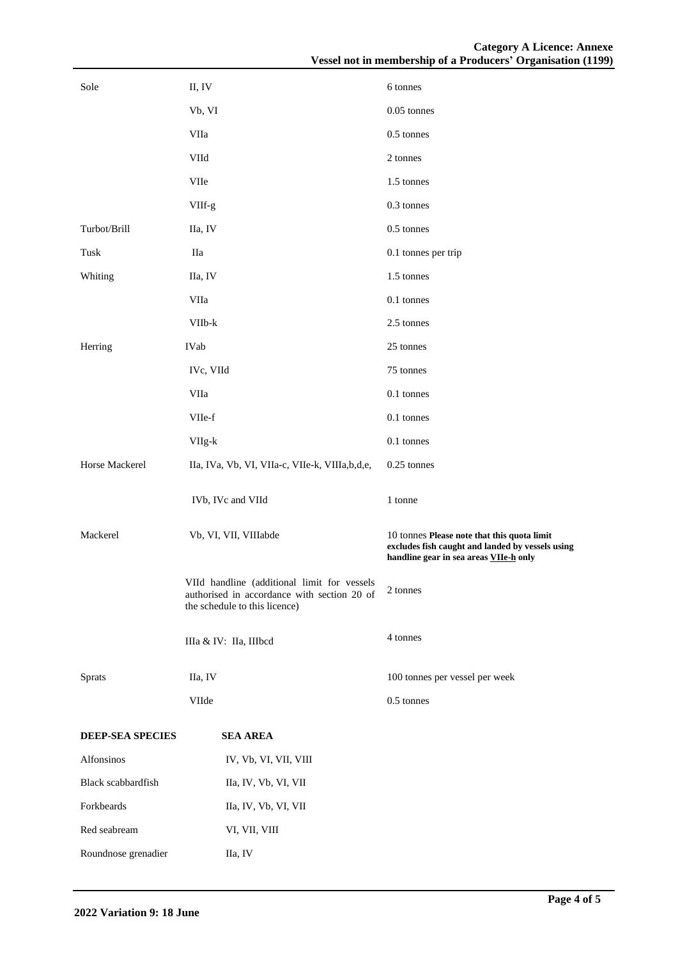| Sole                | II, IV                                                                                                                      | 6 tonnes                                                                                                                                  |
|---------------------|-----------------------------------------------------------------------------------------------------------------------------|-------------------------------------------------------------------------------------------------------------------------------------------|
|                     | Vb, VI                                                                                                                      | 0.05 tonnes                                                                                                                               |
|                     | VIIa                                                                                                                        | 0.5 tonnes                                                                                                                                |
|                     | VIId                                                                                                                        | 2 tonnes                                                                                                                                  |
|                     | <b>VIIe</b>                                                                                                                 | 1.5 tonnes                                                                                                                                |
|                     | VIIf-g                                                                                                                      | 0.3 tonnes                                                                                                                                |
| Turbot/Brill        | IIa, IV                                                                                                                     | 0.5 tonnes                                                                                                                                |
| Tusk                | Нa                                                                                                                          | 0.1 tonnes per trip                                                                                                                       |
| Whiting             | IIa, IV                                                                                                                     | 1.5 tonnes                                                                                                                                |
|                     | VIIa                                                                                                                        | 0.1 tonnes                                                                                                                                |
|                     | VIIb-k                                                                                                                      | 2.5 tonnes                                                                                                                                |
| Herring             | IVab                                                                                                                        | 25 tonnes                                                                                                                                 |
|                     | IVc, VIId                                                                                                                   | 75 tonnes                                                                                                                                 |
|                     | VIIa                                                                                                                        | 0.1 tonnes                                                                                                                                |
|                     | VIIe-f                                                                                                                      | 0.1 tonnes                                                                                                                                |
|                     | VIIg-k                                                                                                                      | 0.1 tonnes                                                                                                                                |
| Horse Mackerel      | IIa, IVa, Vb, VI, VIIa-c, VIIe-k, VIIIa,b,d,e,                                                                              | 0.25 tonnes                                                                                                                               |
|                     | IVb, IVc and VIId                                                                                                           | 1 tonne                                                                                                                                   |
| Mackerel            | Vb, VI, VII, VIIIabde                                                                                                       | 10 tonnes Please note that this quota limit<br>excludes fish caught and landed by vessels using<br>handline gear in sea areas VIIe-h only |
|                     | VIId handline (additional limit for vessels<br>authorised in accordance with section 20 of<br>the schedule to this licence) | 2 tonnes                                                                                                                                  |
|                     | IIIa & IV: IIa, IIIbcd                                                                                                      | 4 tonnes                                                                                                                                  |
| Sprats              | IIa, IV                                                                                                                     | 100 tonnes per vessel per week                                                                                                            |
|                     | VIIde                                                                                                                       | $0.5$ tonnes                                                                                                                              |
| DEEP-SEA SPECIES    | <b>SEA AREA</b>                                                                                                             |                                                                                                                                           |
| Alfonsinos          | IV, Vb, VI, VII, VIII                                                                                                       |                                                                                                                                           |
| Black scabbardfish  | IIa, IV, Vb, VI, VII                                                                                                        |                                                                                                                                           |
| Forkbeards          | IIa, IV, Vb, VI, VII                                                                                                        |                                                                                                                                           |
| Red seabream        | VI, VII, VIII                                                                                                               |                                                                                                                                           |
| Roundnose grenadier | IIa, IV                                                                                                                     |                                                                                                                                           |